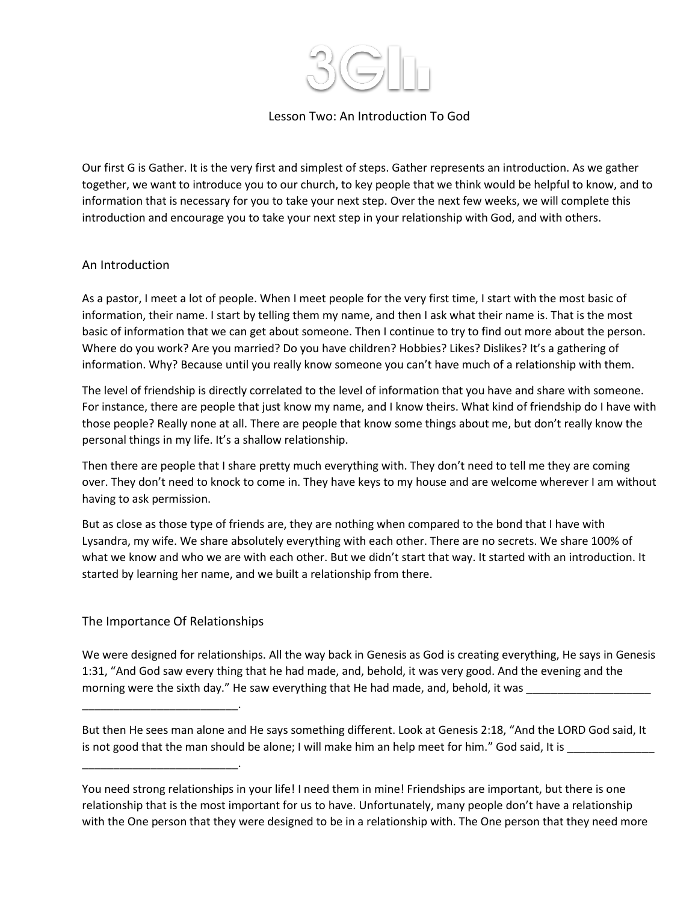

## Lesson Two: An Introduction To God

Our first G is Gather. It is the very first and simplest of steps. Gather represents an introduction. As we gather together, we want to introduce you to our church, to key people that we think would be helpful to know, and to information that is necessary for you to take your next step. Over the next few weeks, we will complete this introduction and encourage you to take your next step in your relationship with God, and with others.

#### An Introduction

As a pastor, I meet a lot of people. When I meet people for the very first time, I start with the most basic of information, their name. I start by telling them my name, and then I ask what their name is. That is the most basic of information that we can get about someone. Then I continue to try to find out more about the person. Where do you work? Are you married? Do you have children? Hobbies? Likes? Dislikes? It's a gathering of information. Why? Because until you really know someone you can't have much of a relationship with them.

The level of friendship is directly correlated to the level of information that you have and share with someone. For instance, there are people that just know my name, and I know theirs. What kind of friendship do I have with those people? Really none at all. There are people that know some things about me, but don't really know the personal things in my life. It's a shallow relationship.

Then there are people that I share pretty much everything with. They don't need to tell me they are coming over. They don't need to knock to come in. They have keys to my house and are welcome wherever I am without having to ask permission.

But as close as those type of friends are, they are nothing when compared to the bond that I have with Lysandra, my wife. We share absolutely everything with each other. There are no secrets. We share 100% of what we know and who we are with each other. But we didn't start that way. It started with an introduction. It started by learning her name, and we built a relationship from there.

#### The Importance Of Relationships

\_\_\_\_\_\_\_\_\_\_\_\_\_\_\_\_\_\_\_\_\_\_\_\_\_.

\_\_\_\_\_\_\_\_\_\_\_\_\_\_\_\_\_\_\_\_\_\_\_\_\_.

We were designed for relationships. All the way back in Genesis as God is creating everything, He says in Genesis 1:31, "And God saw every thing that he had made, and, behold, it was very good. And the evening and the morning were the sixth day." He saw everything that He had made, and, behold, it was

But then He sees man alone and He says something different. Look at Genesis 2:18, "And the LORD God said, It is not good that the man should be alone; I will make him an help meet for him." God said, It is

You need strong relationships in your life! I need them in mine! Friendships are important, but there is one relationship that is the most important for us to have. Unfortunately, many people don't have a relationship with the One person that they were designed to be in a relationship with. The One person that they need more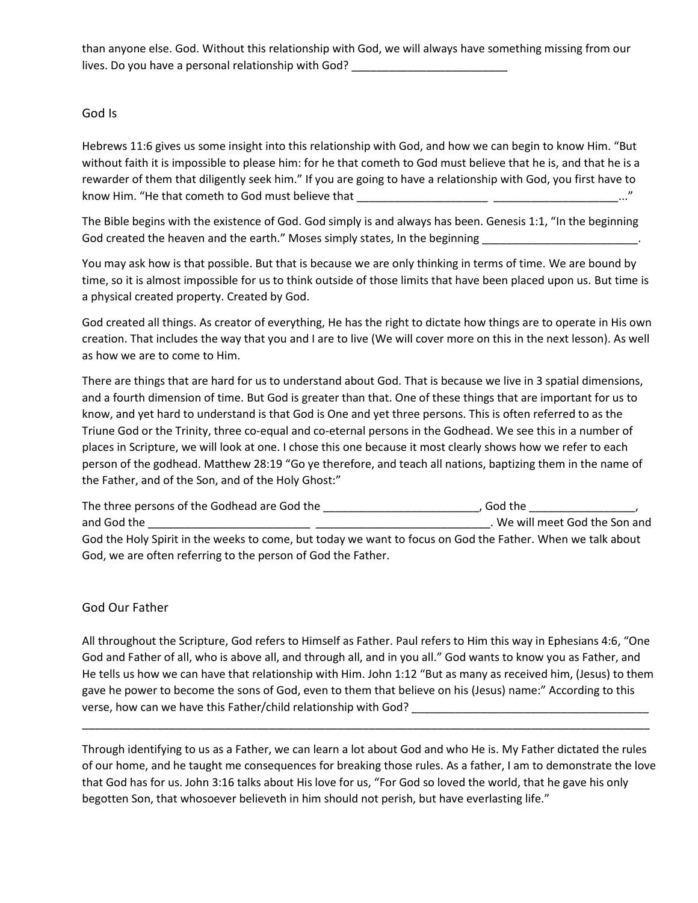than anyone else. God. Without this relationship with God, we will always have something missing from our lives. Do you have a personal relationship with God? \_\_\_\_\_\_\_\_\_\_\_\_\_\_\_\_\_\_\_\_\_\_\_\_\_\_\_

## God Is

Hebrews 11:6 gives us some insight into this relationship with God, and how we can begin to know Him. "But without faith it is impossible to please him: for he that cometh to God must believe that he is, and that he is a rewarder of them that diligently seek him." If you are going to have a relationship with God, you first have to know Him. "He that cometh to God must believe that \_\_\_\_\_\_\_\_\_\_\_\_\_\_\_\_\_\_\_\_\_ \_\_\_\_\_\_\_\_\_\_\_\_\_\_\_\_\_\_\_\_..."

The Bible begins with the existence of God. God simply is and always has been. Genesis 1:1, "In the beginning God created the heaven and the earth." Moses simply states, In the beginning \_\_\_\_\_\_\_\_\_\_\_\_\_\_\_\_\_\_\_\_\_\_\_\_\_\_\_\_.

You may ask how is that possible. But that is because we are only thinking in terms of time. We are bound by time, so it is almost impossible for us to think outside of those limits that have been placed upon us. But time is a physical created property. Created by God.

God created all things. As creator of everything, He has the right to dictate how things are to operate in His own creation. That includes the way that you and I are to live (We will cover more on this in the next lesson). As well as how we are to come to Him.

There are things that are hard for us to understand about God. That is because we live in 3 spatial dimensions, and a fourth dimension of time. But God is greater than that. One of these things that are important for us to know, and yet hard to understand is that God is One and yet three persons. This is often referred to as the Triune God or the Trinity, three co-equal and co-eternal persons in the Godhead. We see this in a number of places in Scripture, we will look at one. I chose this one because it most clearly shows how we refer to each person of the godhead. Matthew 28:19 "Go ye therefore, and teach all nations, baptizing them in the name of the Father, and of the Son, and of the Holy Ghost:"

The three persons of the Godhead are God the \_\_\_\_\_\_\_\_\_\_\_\_\_\_\_\_\_\_\_\_\_\_\_\_\_\_\_\_, God the \_\_\_\_\_\_\_\_\_\_\_\_\_\_\_\_\_\_\_, and God the \_\_\_\_\_\_\_\_\_\_\_\_\_\_\_\_\_\_\_\_\_\_\_\_\_\_ \_\_\_\_\_\_\_\_\_\_\_\_\_\_\_\_\_\_\_\_\_\_\_\_\_\_\_\_. We will meet God the Son and God the Holy Spirit in the weeks to come, but today we want to focus on God the Father. When we talk about God, we are often referring to the person of God the Father.

# God Our Father

All throughout the Scripture, God refers to Himself as Father. Paul refers to Him this way in Ephesians 4:6, "One God and Father of all, who is above all, and through all, and in you all." God wants to know you as Father, and He tells us how we can have that relationship with Him. John 1:12 "But as many as received him, (Jesus) to them gave he power to become the sons of God, even to them that believe on his (Jesus) name:" According to this verse, how can we have this Father/child relationship with God? \_\_\_\_\_\_\_\_\_\_\_\_\_\_\_\_\_\_\_\_\_\_\_\_\_\_\_\_\_\_\_\_\_\_\_\_\_\_

\_\_\_\_\_\_\_\_\_\_\_\_\_\_\_\_\_\_\_\_\_\_\_\_\_\_\_\_\_\_\_\_\_\_\_\_\_\_\_\_\_\_\_\_\_\_\_\_\_\_\_\_\_\_\_\_\_\_\_\_\_\_\_\_\_\_\_\_\_\_\_\_\_\_\_\_\_\_\_\_\_\_\_\_\_\_\_\_\_\_\_

Through identifying to us as a Father, we can learn a lot about God and who He is. My Father dictated the rules of our home, and he taught me consequences for breaking those rules. As a father, I am to demonstrate the love that God has for us. John 3:16 talks about His love for us, "For God so loved the world, that he gave his only begotten Son, that whosoever believeth in him should not perish, but have everlasting life."